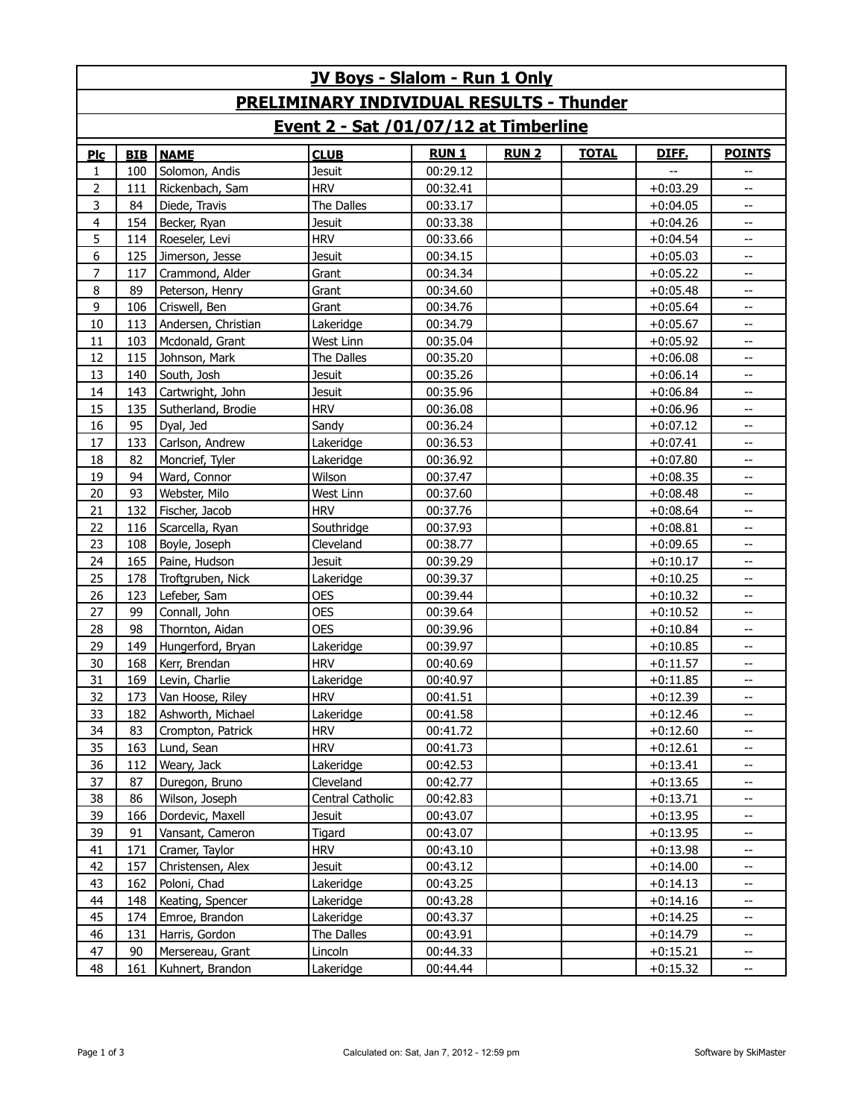| <b>JV Boys - Slalom - Run 1 Only</b>            |            |                     |                  |             |             |              |              |                |  |
|-------------------------------------------------|------------|---------------------|------------------|-------------|-------------|--------------|--------------|----------------|--|
| <b>PRELIMINARY INDIVIDUAL RESULTS - Thunder</b> |            |                     |                  |             |             |              |              |                |  |
| Event 2 - Sat /01/07/12 at Timberline           |            |                     |                  |             |             |              |              |                |  |
| Plc                                             | <b>BIB</b> | <b>NAME</b>         | <b>CLUB</b>      | <b>RUN1</b> | <b>RUN2</b> | <b>TOTAL</b> | <b>DIFE.</b> | <b>POINTS</b>  |  |
| 1                                               | 100        | Solomon, Andis      | <b>Jesuit</b>    | 00:29.12    |             |              |              | $-$            |  |
| $\overline{2}$                                  | 111        | Rickenbach, Sam     | <b>HRV</b>       | 00:32.41    |             |              | $+0:03.29$   | $- -$          |  |
| 3                                               | 84         | Diede, Travis       | The Dalles       | 00:33.17    |             |              | $+0:04.05$   | $\overline{a}$ |  |
| $\overline{4}$                                  | 154        | Becker, Ryan        | <b>Jesuit</b>    | 00:33.38    |             |              | $+0:04.26$   | $- -$          |  |
| 5                                               | 114        | Roeseler, Levi      | <b>HRV</b>       | 00:33.66    |             |              | $+0:04.54$   | $- -$          |  |
| 6                                               | 125        | Jimerson, Jesse     | <b>Jesuit</b>    | 00:34.15    |             |              | $+0:05.03$   | $\overline{a}$ |  |
| $\overline{7}$                                  | 117        | Crammond, Alder     | Grant            | 00:34.34    |             |              | $+0:05.22$   | --             |  |
| 8                                               | 89         | Peterson, Henry     | Grant            | 00:34.60    |             |              | $+0:05.48$   | $\overline{a}$ |  |
| 9                                               | 106        | Criswell, Ben       | Grant            | 00:34.76    |             |              | $+0:05.64$   | $- -$          |  |
| 10                                              | 113        | Andersen, Christian | Lakeridge        | 00:34.79    |             |              | $+0:05.67$   | $- -$          |  |
| 11                                              | 103        | Mcdonald, Grant     | West Linn        | 00:35.04    |             |              | $+0:05.92$   | $- -$          |  |
| 12                                              | 115        | Johnson, Mark       | The Dalles       | 00:35.20    |             |              | $+0:06.08$   | $- -$          |  |
| 13                                              | 140        | South, Josh         | <b>Jesuit</b>    | 00:35.26    |             |              | $+0:06.14$   | $\overline{a}$ |  |
| 14                                              | 143        | Cartwright, John    | <b>Jesuit</b>    | 00:35.96    |             |              | $+0:06.84$   | --             |  |
| 15                                              | 135        | Sutherland, Brodie  | <b>HRV</b>       | 00:36.08    |             |              | $+0:06.96$   | $- -$          |  |
| 16                                              | 95         | Dyal, Jed           | Sandy            | 00:36.24    |             |              | $+0:07.12$   | $- -$          |  |
| 17                                              | 133        | Carlson, Andrew     | Lakeridge        | 00:36.53    |             |              | $+0:07.41$   | $- -$          |  |
| 18                                              | 82         | Moncrief, Tyler     | Lakeridge        | 00:36.92    |             |              | $+0:07.80$   | $\overline{a}$ |  |
| 19                                              | 94         | Ward, Connor        | Wilson           | 00:37.47    |             |              | $+0:08.35$   | --             |  |
| 20                                              | 93         | Webster, Milo       | West Linn        | 00:37.60    |             |              | $+0:08.48$   | $\overline{a}$ |  |
| 21                                              | 132        | Fischer, Jacob      | <b>HRV</b>       | 00:37.76    |             |              | $+0:08.64$   | $- -$          |  |
| 22                                              | 116        | Scarcella, Ryan     | Southridge       | 00:37.93    |             |              | $+0:08.81$   | $- -$          |  |
| 23                                              | 108        | Boyle, Joseph       | Cleveland        | 00:38.77    |             |              | $+0:09.65$   | $- -$          |  |
| 24                                              | 165        | Paine, Hudson       | <b>Jesuit</b>    | 00:39.29    |             |              | $+0:10.17$   | --             |  |
| 25                                              | 178        | Troftgruben, Nick   | Lakeridge        | 00:39.37    |             |              | $+0:10.25$   | $\overline{a}$ |  |
| 26                                              | 123        | Lefeber, Sam        | <b>OES</b>       | 00:39.44    |             |              | $+0:10.32$   | $- -$          |  |
| 27                                              | 99         | Connall, John       | <b>OES</b>       | 00:39.64    |             |              | $+0:10.52$   | $- -$          |  |
| 28                                              | 98         | Thornton, Aidan     | <b>OES</b>       | 00:39.96    |             |              | $+0:10.84$   | $- -$          |  |
| 29                                              | 149        | Hungerford, Bryan   | Lakeridge        | 00:39.97    |             |              | $+0:10.85$   | $- -$          |  |
| 30                                              | 168        | Kerr, Brendan       | <b>HRV</b>       | 00:40.69    |             |              | $+0:11.57$   | $\overline{a}$ |  |
| 31                                              | 169        | Levin, Charlie      | Lakeridge        | 00:40.97    |             |              | $+0:11.85$   | --             |  |
| 32                                              | 173        | Van Hoose, Riley    | <b>HRV</b>       | 00:41.51    |             |              | $+0:12.39$   | --             |  |
| 33                                              | 182        | Ashworth, Michael   | Lakeridge        | 00:41.58    |             |              | $+0:12.46$   | --             |  |
| 34                                              | 83         | Crompton, Patrick   | <b>HRV</b>       | 00:41.72    |             |              | $+0:12.60$   | --             |  |
| 35                                              | 163        | Lund, Sean          | <b>HRV</b>       | 00:41.73    |             |              | $+0:12.61$   | $- -$          |  |
| 36                                              | 112        | Weary, Jack         | Lakeridge        | 00:42.53    |             |              | $+0:13.41$   | --             |  |
| 37                                              | 87         | Duregon, Bruno      | Cleveland        | 00:42.77    |             |              | $+0:13.65$   | $- -$          |  |
| 38                                              | 86         | Wilson, Joseph      | Central Catholic | 00:42.83    |             |              | $+0:13.71$   | --             |  |
| 39                                              | 166        | Dordevic, Maxell    | Jesuit           | 00:43.07    |             |              | $+0:13.95$   | --             |  |
| 39                                              | 91         | Vansant, Cameron    | Tigard           | 00:43.07    |             |              | $+0:13.95$   | $- -$          |  |
| 41                                              | 171        | Cramer, Taylor      | <b>HRV</b>       | 00:43.10    |             |              | $+0:13.98$   | --             |  |
| 42                                              | 157        | Christensen, Alex   | Jesuit           | 00:43.12    |             |              | $+0:14.00$   | $- -$          |  |
| 43                                              | 162        | Poloni, Chad        | Lakeridge        | 00:43.25    |             |              | $+0:14.13$   | --             |  |
| 44                                              | 148        | Keating, Spencer    | Lakeridge        | 00:43.28    |             |              | $+0:14.16$   | $- -$          |  |
| 45                                              | 174        | Emroe, Brandon      | Lakeridge        | 00:43.37    |             |              | $+0:14.25$   | $- -$          |  |
| 46                                              | 131        | Harris, Gordon      | The Dalles       | 00:43.91    |             |              | $+0:14.79$   | --             |  |
| 47                                              | 90         | Mersereau, Grant    | Lincoln          | 00:44.33    |             |              | $+0:15.21$   | --             |  |
| 48                                              | 161        | Kuhnert, Brandon    | Lakeridge        | 00:44.44    |             |              | $+0:15.32$   | --             |  |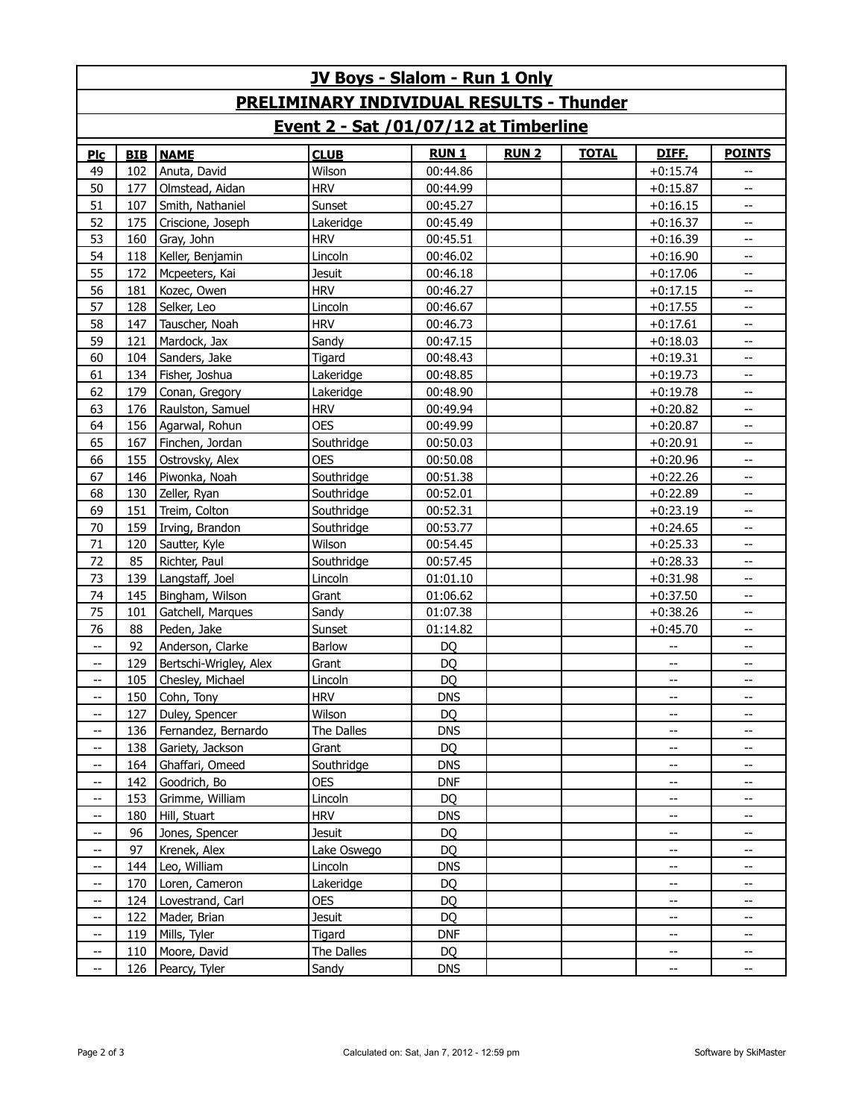| <b>JV Boys - Slalom - Run 1 Only</b>            |            |                        |               |             |             |              |                          |                          |  |
|-------------------------------------------------|------------|------------------------|---------------|-------------|-------------|--------------|--------------------------|--------------------------|--|
| <b>PRELIMINARY INDIVIDUAL RESULTS - Thunder</b> |            |                        |               |             |             |              |                          |                          |  |
| Event 2 - Sat /01/07/12 at Timberline           |            |                        |               |             |             |              |                          |                          |  |
| Plc                                             | <b>BIB</b> | <b>NAME</b>            | <b>CLUB</b>   | <b>RUN1</b> | <b>RUN2</b> | <b>TOTAL</b> | <b>DIFE.</b>             | <b>POINTS</b>            |  |
| 49                                              | 102        | Anuta, David           | Wilson        | 00:44.86    |             |              | $+0:15.74$               |                          |  |
| 50                                              | 177        | Olmstead, Aidan        | <b>HRV</b>    | 00:44.99    |             |              | $+0:15.87$               | $-$                      |  |
| 51                                              | 107        | Smith, Nathaniel       | Sunset        | 00:45.27    |             |              | $+0:16.15$               | --                       |  |
| 52                                              | 175        | Criscione, Joseph      | Lakeridge     | 00:45.49    |             |              | $+0:16.37$               | --                       |  |
| 53                                              | 160        | Gray, John             | <b>HRV</b>    | 00:45.51    |             |              | $+0:16.39$               | --                       |  |
| 54                                              | 118        | Keller, Benjamin       | Lincoln       | 00:46.02    |             |              | $+0:16.90$               | --                       |  |
| 55                                              | 172        | Mcpeeters, Kai         | <b>Jesuit</b> | 00:46.18    |             |              | $+0:17.06$               | --                       |  |
| 56                                              | 181        | Kozec, Owen            | <b>HRV</b>    | 00:46.27    |             |              | $+0:17.15$               | --                       |  |
| 57                                              | 128        | Selker, Leo            | Lincoln       | 00:46.67    |             |              | $+0:17.55$               | Щ,                       |  |
| 58                                              | 147        | Tauscher, Noah         | <b>HRV</b>    | 00:46.73    |             |              | $+0:17.61$               | --                       |  |
| 59                                              | 121        | Mardock, Jax           | Sandy         | 00:47.15    |             |              | $+0:18.03$               | --                       |  |
| 60                                              | 104        | Sanders, Jake          | Tigard        | 00:48.43    |             |              | $+0:19.31$               | --                       |  |
| 61                                              | 134        | Fisher, Joshua         | Lakeridge     | 00:48.85    |             |              | $+0:19.73$               |                          |  |
| 62                                              | 179        | Conan, Gregory         | Lakeridge     | 00:48.90    |             |              | $+0:19.78$               | --                       |  |
| 63                                              | 176        | Raulston, Samuel       | <b>HRV</b>    | 00:49.94    |             |              | $+0:20.82$               | --                       |  |
| 64                                              | 156        | Agarwal, Rohun         | <b>OES</b>    | 00:49.99    |             |              | $+0:20.87$               | --                       |  |
| 65                                              | 167        | Finchen, Jordan        | Southridge    | 00:50.03    |             |              | $+0:20.91$               | --                       |  |
| 66                                              | 155        | Ostrovsky, Alex        | <b>OES</b>    | 00:50.08    |             |              | $+0:20.96$               | --                       |  |
| 67                                              | 146        | Piwonka, Noah          | Southridge    | 00:51.38    |             |              | $+0:22.26$               | --                       |  |
| 68                                              | 130        | Zeller, Ryan           | Southridge    | 00:52.01    |             |              | $+0:22.89$               | --                       |  |
| 69                                              | 151        | Treim, Colton          | Southridge    | 00:52.31    |             |              | $+0:23.19$               | --                       |  |
| 70                                              | 159        | Irving, Brandon        | Southridge    | 00:53.77    |             |              | $+0:24.65$               | --                       |  |
| 71                                              | 120        | Sautter, Kyle          | Wilson        | 00:54.45    |             |              | $+0:25.33$               | --                       |  |
| 72                                              | 85         | Richter, Paul          | Southridge    | 00:57.45    |             |              | $+0:28.33$               | --                       |  |
| 73                                              | 139        | Langstaff, Joel        | Lincoln       | 01:01.10    |             |              | $+0:31.98$               | --                       |  |
| 74                                              | 145        | Bingham, Wilson        | Grant         | 01:06.62    |             |              | $+0:37.50$               | --                       |  |
| 75                                              | 101        | Gatchell, Marques      | Sandy         | 01:07.38    |             |              | $+0:38.26$               | --                       |  |
| 76                                              | 88         | Peden, Jake            | Sunset        | 01:14.82    |             |              | $+0:45.70$               | --                       |  |
| $\overline{\phantom{a}}$                        | 92         | Anderson, Clarke       | Barlow        | <b>DQ</b>   |             |              | $\overline{a}$           | --                       |  |
| --                                              | 129        | Bertschi-Wrigley, Alex | Grant         | <b>DQ</b>   |             |              | --                       |                          |  |
| $-$                                             | 105        | Chesley, Michael       | Lincoln       | <b>DQ</b>   |             |              | $-$                      | $-$                      |  |
|                                                 |            | 150 Cohn, Tony         | <b>HRV</b>    | <b>DNS</b>  |             |              |                          |                          |  |
| --                                              | 127        | Duley, Spencer         | Wilson        | DQ          |             |              | --                       | --                       |  |
| $\qquad \qquad -$                               | 136        | Fernandez, Bernardo    | The Dalles    | <b>DNS</b>  |             |              | $\overline{\phantom{a}}$ | $- -$                    |  |
| --                                              | 138        | Gariety, Jackson       | Grant         | DQ          |             |              | --                       | --                       |  |
| $\qquad \qquad -$                               | 164        | Ghaffari, Omeed        | Southridge    | <b>DNS</b>  |             |              | --                       | $\overline{\phantom{a}}$ |  |
| --                                              | 142        | Goodrich, Bo           | <b>OES</b>    | <b>DNF</b>  |             |              | --                       | --                       |  |
| $\overline{\phantom{a}}$                        | 153        | Grimme, William        | Lincoln       | DQ          |             |              | --                       | --                       |  |
| $\qquad \qquad -$                               | 180        | Hill, Stuart           | <b>HRV</b>    | <b>DNS</b>  |             |              | --                       | $- -$                    |  |
| --                                              | 96         | Jones, Spencer         | <b>Jesuit</b> | DQ          |             |              | --                       | --                       |  |
| $-$                                             | 97         | Krenek, Alex           | Lake Oswego   | <b>DQ</b>   |             |              | --                       | $\overline{\phantom{a}}$ |  |
| --                                              | 144        | Leo, William           | Lincoln       | <b>DNS</b>  |             |              | --                       | --                       |  |
| $\qquad \qquad -$                               | 170        | Loren, Cameron         | Lakeridge     | DQ          |             |              | --                       | --                       |  |
| $\overline{\phantom{a}}$                        | 124        | Lovestrand, Carl       | <b>OES</b>    | <b>DQ</b>   |             |              | --                       | --                       |  |
| --                                              | 122        | Mader, Brian           | <b>Jesuit</b> | <b>DQ</b>   |             |              | --                       | --                       |  |
| $\qquad \qquad -$                               | 119        | Mills, Tyler           | Tigard        | <b>DNF</b>  |             |              | --                       | $\overline{\phantom{a}}$ |  |
| --                                              | 110        | Moore, David           | The Dalles    | DQ          |             |              | --                       | --                       |  |
| $\overline{\phantom{a}}$                        | 126        | Pearcy, Tyler          | Sandy         | <b>DNS</b>  |             |              | $\overline{\phantom{a}}$ | $\overline{\phantom{a}}$ |  |